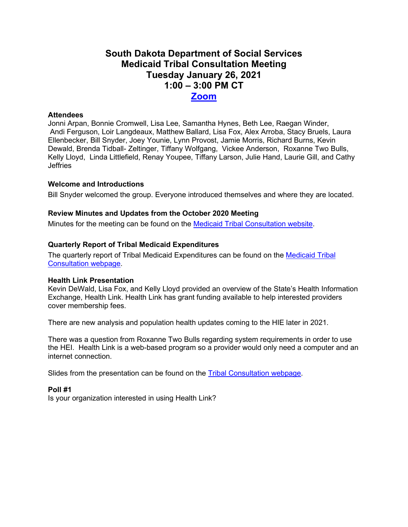# **South Dakota Department of Social Services Medicaid Tribal Consultation Meeting Tuesday January 26, 2021 1:00 – 3:00 PM CT [Zoom](https://state-sd.zoom.us/j/99386538926?pwd=V2IyRExuTlZ3b2gzelk0RGREOFRvUT09)**

## **Attendees**

Jonni Arpan, Bonnie Cromwell, Lisa Lee, Samantha Hynes, Beth Lee, Raegan Winder, Andi Ferguson, Loir Langdeaux, Matthew Ballard, Lisa Fox, Alex Arroba, Stacy Bruels, Laura Ellenbecker, Bill Snyder, Joey Younie, Lynn Provost, Jamie Morris, Richard Burns, Kevin Dewald, Brenda Tidball- Zeltinger, Tiffany Wolfgang, Vickee Anderson, Roxanne Two Bulls, Kelly Lloyd, Linda Littlefield, Renay Youpee, Tiffany Larson, Julie Hand, Laurie Gill, and Cathy **Jeffries** 

## **Welcome and Introductions**

Bill Snyder welcomed the group. Everyone introduced themselves and where they are located.

## **Review Minutes and Updates from the October 2020 Meeting**

Minutes for the meeting can be found on the [Medicaid Tribal Consultation website.](https://dss.sd.gov/medicaid/generalinfo/tribalconsultation.aspx)

## **Quarterly Report of Tribal Medicaid Expenditures**

The quarterly report of Tribal Medicaid Expenditures can be found on the [Medicaid Tribal](https://dss.sd.gov/medicaid/generalinfo/tribalconsultation.aspx)  [Consultation webpage.](https://dss.sd.gov/medicaid/generalinfo/tribalconsultation.aspx)

#### **Health Link Presentation**

Kevin DeWald, Lisa Fox, and Kelly Lloyd provided an overview of the State's Health Information Exchange, Health Link. Health Link has grant funding available to help interested providers cover membership fees.

There are new analysis and population health updates coming to the HIE later in 2021.

There was a question from Roxanne Two Bulls regarding system requirements in order to use the HEI. Health Link is a web-based program so a provider would only need a computer and an internet connection.

Slides from the presentation can be found on the **Tribal Consultation webpage**.

#### **Poll #1**

Is your organization interested in using Health Link?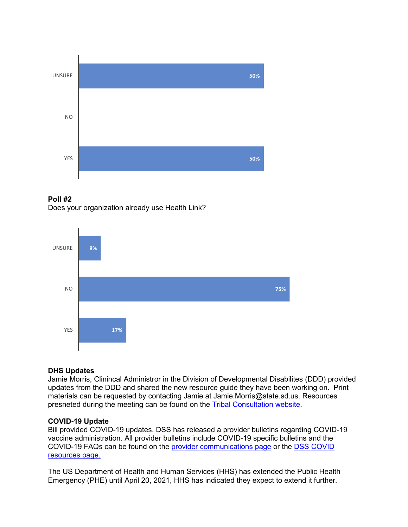





# **DHS Updates**

Jamie Morris, Clinincal Administror in the Division of Developmental Disabilites (DDD) provided updates from the DDD and shared the new resource guide they have been working on. Print materials can be requested by contacting Jamie at Jamie.Morris@state.sd.us. Resources presneted during the meeting can be found on the Tribal [Consultation website.](https://dss.sd.gov/medicaid/generalinfo/tribalconsultation.aspx)

# **COVID-19 Update**

Bill provided COVID-19 updates. DSS has released a provider bulletins regarding COVID-19 vaccine administration. All provider bulletins include COVID-19 specific bulletins and the COVID-19 FAQs can be found on the [provider communications page](https://dss.sd.gov/medicaid/providers/communication.aspx) or the [DSS COVID](https://dss.sd.gov/keyresources/recentnews.aspx)  [resources page.](https://dss.sd.gov/keyresources/recentnews.aspx)

The US Department of Health and Human Services (HHS) has extended the Public Health Emergency (PHE) until April 20, 2021, HHS has indicated they expect to extend it further.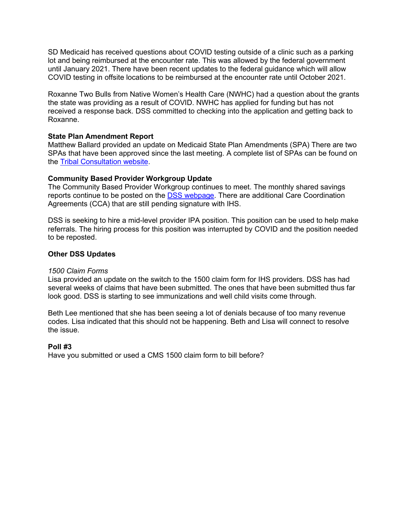SD Medicaid has received questions about COVID testing outside of a clinic such as a parking lot and being reimbursed at the encounter rate. This was allowed by the federal government until January 2021. There have been recent updates to the federal guidance which will allow COVID testing in offsite locations to be reimbursed at the encounter rate until October 2021.

Roxanne Two Bulls from Native Women's Health Care (NWHC) had a question about the grants the state was providing as a result of COVID. NWHC has applied for funding but has not received a response back. DSS committed to checking into the application and getting back to Roxanne.

# **State Plan Amendment Report**

Matthew Ballard provided an update on Medicaid State Plan Amendments (SPA) There are two SPAs that have been approved since the last meeting. A complete list of SPAs can be found on the [Tribal Consultation website.](https://dss.sd.gov/medicaid/generalinfo/tribalconsultation.aspx)

## **Community Based Provider Workgroup Update**

The Community Based Provider Workgroup continues to meet. The monthly shared savings reports continue to be posted on the [DSS webpage.](https://dss.sd.gov/keyresources/statistics.aspx) There are additional Care Coordination Agreements (CCA) that are still pending signature with IHS.

DSS is seeking to hire a mid-level provider IPA position. This position can be used to help make referrals. The hiring process for this position was interrupted by COVID and the position needed to be reposted.

## **Other DSS Updates**

#### *1500 Claim Forms*

Lisa provided an update on the switch to the 1500 claim form for IHS providers. DSS has had several weeks of claims that have been submitted. The ones that have been submitted thus far look good. DSS is starting to see immunizations and well child visits come through.

Beth Lee mentioned that she has been seeing a lot of denials because of too many revenue codes. Lisa indicated that this should not be happening. Beth and Lisa will connect to resolve the issue.

#### **Poll #3**

Have you submitted or used a CMS 1500 claim form to bill before?